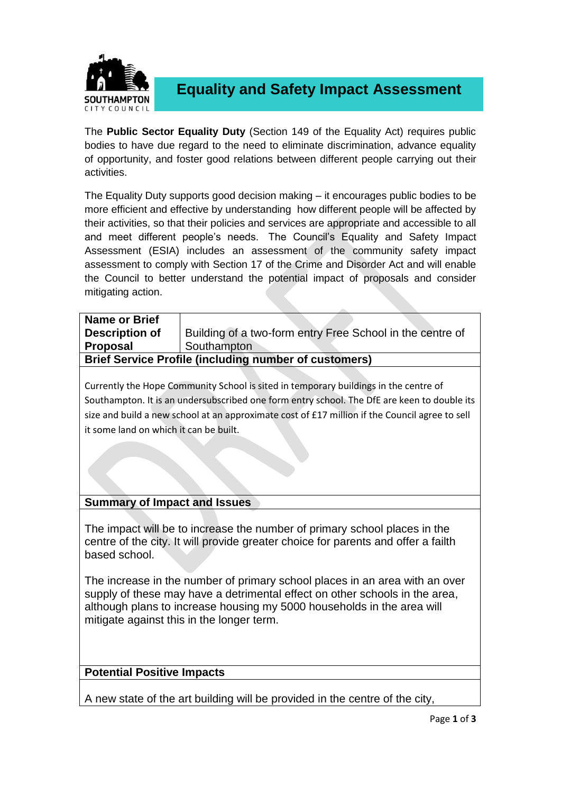

**Equality and Safety Impact Assessment**

The **Public Sector Equality Duty** (Section 149 of the Equality Act) requires public bodies to have due regard to the need to eliminate discrimination, advance equality of opportunity, and foster good relations between different people carrying out their activities.

The Equality Duty supports good decision making – it encourages public bodies to be more efficient and effective by understanding how different people will be affected by their activities, so that their policies and services are appropriate and accessible to all and meet different people's needs. The Council's Equality and Safety Impact Assessment (ESIA) includes an assessment of the community safety impact assessment to comply with Section 17 of the Crime and Disorder Act and will enable the Council to better understand the potential impact of proposals and consider mitigating action.

| <b>Name or Brief</b>                                         |                                                           |  |
|--------------------------------------------------------------|-----------------------------------------------------------|--|
| Description of                                               | Building of a two-form entry Free School in the centre of |  |
| <b>Proposal</b>                                              | Southampton                                               |  |
| <b>Brief Service Profile (including number of customers)</b> |                                                           |  |

Currently the Hope Community School is sited in temporary buildings in the centre of Southampton. It is an undersubscribed one form entry school. The DfE are keen to double its size and build a new school at an approximate cost of £17 million if the Council agree to sell it some land on which it can be built.

## **Summary of Impact and Issues**

The impact will be to increase the number of primary school places in the centre of the city. It will provide greater choice for parents and offer a failth based school.

The increase in the number of primary school places in an area with an over supply of these may have a detrimental effect on other schools in the area, although plans to increase housing my 5000 households in the area will mitigate against this in the longer term.

## **Potential Positive Impacts**

A new state of the art building will be provided in the centre of the city,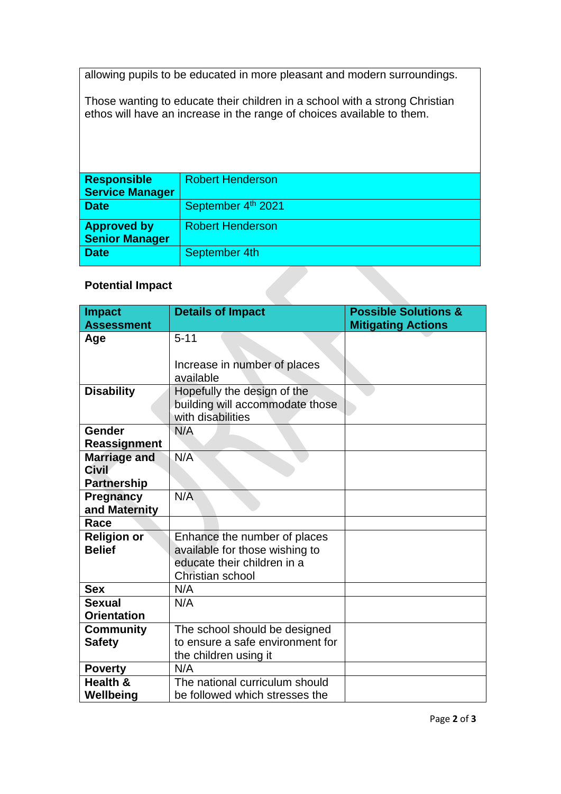allowing pupils to be educated in more pleasant and modern surroundings.

Those wanting to educate their children in a school with a strong Christian ethos will have an increase in the range of choices available to them.

| <b>Responsible</b>      | <b>Robert Henderson</b> |
|-------------------------|-------------------------|
| <b>Service Manager</b>  |                         |
| <b>Date</b>             | September 4th 2021      |
| <b>Approved by</b>      | <b>Robert Henderson</b> |
| <b>Senior Manager</b>   |                         |
| <b>Date</b>             | September 4th           |
| <b>Potential Impact</b> |                         |

## **Potential Impact**

| <b>Impact</b><br><b>Assessment</b> | <b>Details of Impact</b>                             | <b>Possible Solutions &amp;</b><br><b>Mitigating Actions</b> |
|------------------------------------|------------------------------------------------------|--------------------------------------------------------------|
| Age                                | $5 - 11$                                             |                                                              |
|                                    |                                                      |                                                              |
|                                    | Increase in number of places                         |                                                              |
|                                    | available                                            |                                                              |
| <b>Disability</b>                  | Hopefully the design of the                          |                                                              |
|                                    | building will accommodate those<br>with disabilities |                                                              |
| Gender                             | N/A                                                  |                                                              |
| <b>Reassignment</b>                |                                                      |                                                              |
| <b>Marriage and</b>                | N/A                                                  |                                                              |
| <b>Civil</b>                       |                                                      |                                                              |
| <b>Partnership</b>                 |                                                      |                                                              |
| <b>Pregnancy</b>                   | N/A                                                  |                                                              |
| and Maternity                      |                                                      |                                                              |
| Race                               |                                                      |                                                              |
| <b>Religion or</b>                 | Enhance the number of places                         |                                                              |
| <b>Belief</b>                      | available for those wishing to                       |                                                              |
|                                    | educate their children in a                          |                                                              |
|                                    | Christian school                                     |                                                              |
| <b>Sex</b>                         | N/A                                                  |                                                              |
| <b>Sexual</b>                      | N/A                                                  |                                                              |
| <b>Orientation</b>                 |                                                      |                                                              |
| <b>Community</b>                   | The school should be designed                        |                                                              |
| <b>Safety</b>                      | to ensure a safe environment for                     |                                                              |
|                                    | the children using it                                |                                                              |
| <b>Poverty</b>                     | N/A                                                  |                                                              |
| Health &                           | The national curriculum should                       |                                                              |
| Wellbeing                          | be followed which stresses the                       |                                                              |